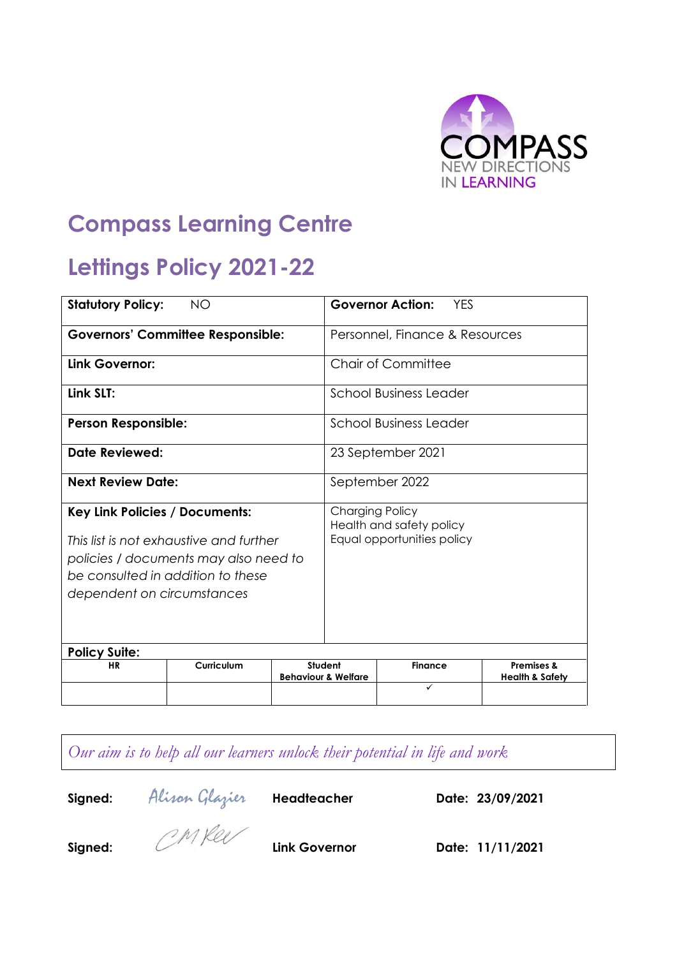

# **Compass Learning Centre**

# **Lettings Policy 2021-22**

| <b>Statutory Policy:</b><br><b>NO</b>                                                                                                                                                        |            | <b>Governor Action:</b><br><b>YFS</b>                                            |  |                     |                                                     |
|----------------------------------------------------------------------------------------------------------------------------------------------------------------------------------------------|------------|----------------------------------------------------------------------------------|--|---------------------|-----------------------------------------------------|
| <b>Governors' Committee Responsible:</b>                                                                                                                                                     |            | Personnel, Finance & Resources                                                   |  |                     |                                                     |
| Link Governor:                                                                                                                                                                               |            | Chair of Committee                                                               |  |                     |                                                     |
| Link SLT:                                                                                                                                                                                    |            | <b>School Business Leader</b>                                                    |  |                     |                                                     |
| <b>Person Responsible:</b>                                                                                                                                                                   |            | School Business Leader                                                           |  |                     |                                                     |
| Date Reviewed:                                                                                                                                                                               |            | 23 September 2021                                                                |  |                     |                                                     |
| <b>Next Review Date:</b>                                                                                                                                                                     |            | September 2022                                                                   |  |                     |                                                     |
| <b>Key Link Policies / Documents:</b><br>This list is not exhaustive and further<br>policies / documents may also need to<br>be consulted in addition to these<br>dependent on circumstances |            | <b>Charging Policy</b><br>Health and safety policy<br>Equal opportunities policy |  |                     |                                                     |
| <b>Policy Suite:</b>                                                                                                                                                                         |            |                                                                                  |  |                     |                                                     |
| <b>HR</b>                                                                                                                                                                                    | Curriculum | Student<br><b>Behaviour &amp; Welfare</b>                                        |  | <b>Finance</b><br>✓ | <b>Premises &amp;</b><br><b>Health &amp; Safety</b> |
|                                                                                                                                                                                              |            |                                                                                  |  |                     |                                                     |

*Our aim is to help all our learners unlock their potential in life and work*

**Signed:** Alison Glazier **Headteacher Date: 23/09/2021**

**Signed: Link Governor Date: 11/11/2021**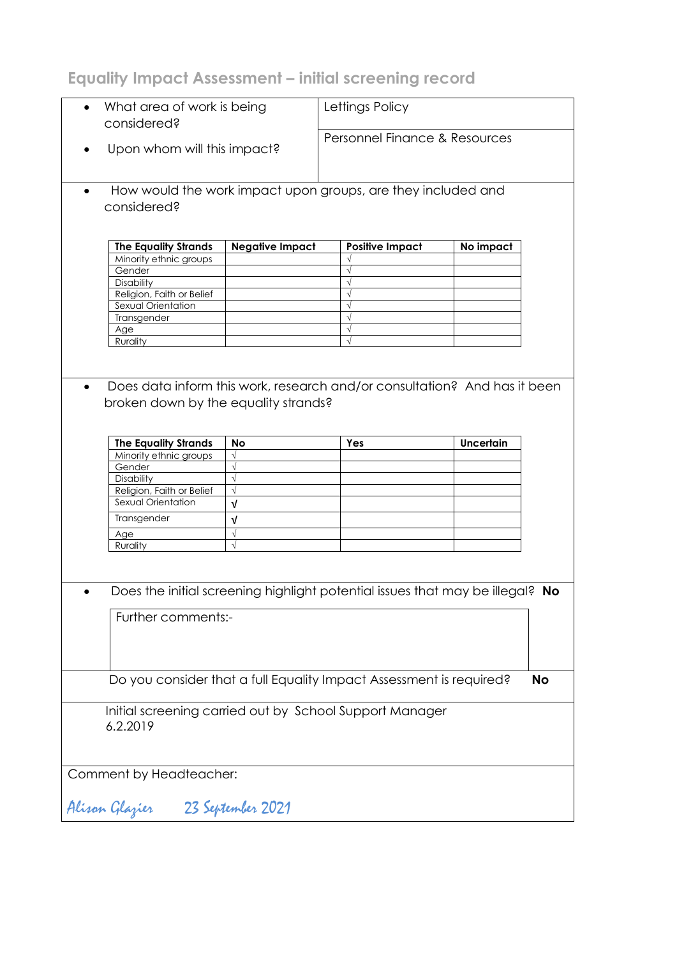**Equality Impact Assessment – initial screening record**

| $\bullet$ | What area of work is being<br>considered?                                 |                        | Lettings Policy                                                               |                  |           |  |
|-----------|---------------------------------------------------------------------------|------------------------|-------------------------------------------------------------------------------|------------------|-----------|--|
|           |                                                                           |                        |                                                                               |                  |           |  |
|           |                                                                           |                        | Personnel Finance & Resources                                                 |                  |           |  |
| $\bullet$ | Upon whom will this impact?                                               |                        |                                                                               |                  |           |  |
|           |                                                                           |                        |                                                                               |                  |           |  |
| $\bullet$ |                                                                           |                        | How would the work impact upon groups, are they included and                  |                  |           |  |
|           | considered?                                                               |                        |                                                                               |                  |           |  |
|           |                                                                           |                        |                                                                               |                  |           |  |
|           |                                                                           |                        |                                                                               |                  |           |  |
|           | <b>The Equality Strands</b>                                               | <b>Negative Impact</b> | <b>Positive Impact</b>                                                        | No impact        |           |  |
|           | Minority ethnic groups                                                    |                        |                                                                               |                  |           |  |
|           | Gender                                                                    |                        |                                                                               |                  |           |  |
|           | Disability                                                                |                        |                                                                               |                  |           |  |
|           | Religion, Faith or Belief                                                 |                        |                                                                               |                  |           |  |
|           | Sexual Orientation                                                        |                        |                                                                               |                  |           |  |
|           | Transgender                                                               |                        | $\sqrt{ }$                                                                    |                  |           |  |
|           | Age                                                                       |                        |                                                                               |                  |           |  |
|           | Rurality                                                                  |                        |                                                                               |                  |           |  |
|           |                                                                           |                        |                                                                               |                  |           |  |
|           |                                                                           |                        |                                                                               |                  |           |  |
|           | Does data inform this work, research and/or consultation? And has it been |                        |                                                                               |                  |           |  |
|           |                                                                           |                        |                                                                               |                  |           |  |
|           | broken down by the equality strands?                                      |                        |                                                                               |                  |           |  |
|           |                                                                           |                        |                                                                               |                  |           |  |
|           |                                                                           |                        |                                                                               |                  |           |  |
|           | <b>The Equality Strands</b>                                               | No                     | Yes                                                                           | <b>Uncertain</b> |           |  |
|           | Minority ethnic groups                                                    | $\sqrt{}$              |                                                                               |                  |           |  |
|           | Gender                                                                    | $\sqrt{}$              |                                                                               |                  |           |  |
|           | Disability                                                                | $\sqrt{}$              |                                                                               |                  |           |  |
|           | Religion, Faith or Belief                                                 | $\sqrt{}$              |                                                                               |                  |           |  |
|           | Sexual Orientation                                                        | $\sqrt{ }$             |                                                                               |                  |           |  |
|           | Transgender                                                               | $\sqrt{ }$             |                                                                               |                  |           |  |
|           | Age                                                                       | $\sqrt{}$              |                                                                               |                  |           |  |
|           | Rurality                                                                  | $\sqrt{}$              |                                                                               |                  |           |  |
|           |                                                                           |                        |                                                                               |                  |           |  |
|           |                                                                           |                        |                                                                               |                  |           |  |
|           |                                                                           |                        |                                                                               |                  |           |  |
|           |                                                                           |                        | Does the initial screening highlight potential issues that may be illegal? No |                  |           |  |
|           |                                                                           |                        |                                                                               |                  |           |  |
|           | Further comments:-                                                        |                        |                                                                               |                  |           |  |
|           |                                                                           |                        |                                                                               |                  |           |  |
|           |                                                                           |                        |                                                                               |                  |           |  |
|           |                                                                           |                        |                                                                               |                  |           |  |
|           |                                                                           |                        |                                                                               |                  |           |  |
|           |                                                                           |                        |                                                                               |                  |           |  |
|           |                                                                           |                        |                                                                               |                  |           |  |
|           | Do you consider that a full Equality Impact Assessment is required?       |                        |                                                                               |                  | <b>No</b> |  |
|           |                                                                           |                        |                                                                               |                  |           |  |
|           | Initial screening carried out by School Support Manager                   |                        |                                                                               |                  |           |  |
|           |                                                                           |                        |                                                                               |                  |           |  |
|           | 6.2.2019                                                                  |                        |                                                                               |                  |           |  |
|           |                                                                           |                        |                                                                               |                  |           |  |
|           |                                                                           |                        |                                                                               |                  |           |  |
|           |                                                                           |                        |                                                                               |                  |           |  |
|           | Comment by Headteacher:                                                   |                        |                                                                               |                  |           |  |
|           |                                                                           |                        |                                                                               |                  |           |  |
|           | Alisan Glazier                                                            | 23 September 2021      |                                                                               |                  |           |  |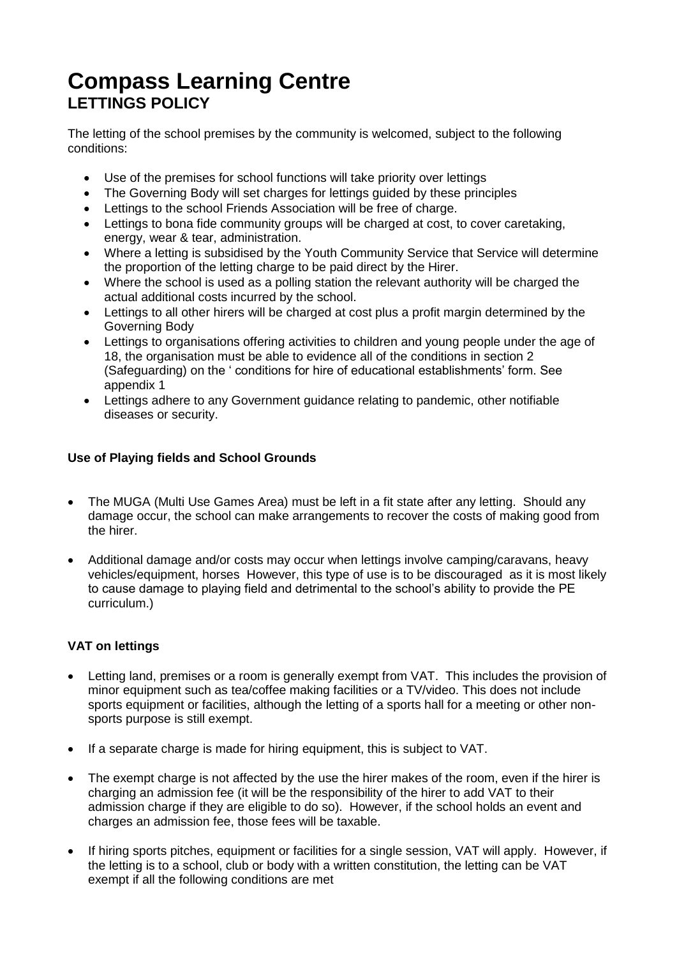# **Compass Learning Centre LETTINGS POLICY**

The letting of the school premises by the community is welcomed, subject to the following conditions:

- Use of the premises for school functions will take priority over lettings
- The Governing Body will set charges for lettings guided by these principles
- Lettings to the school Friends Association will be free of charge.
- Lettings to bona fide community groups will be charged at cost, to cover caretaking, energy, wear & tear, administration.
- Where a letting is subsidised by the Youth Community Service that Service will determine the proportion of the letting charge to be paid direct by the Hirer.
- Where the school is used as a polling station the relevant authority will be charged the actual additional costs incurred by the school.
- Lettings to all other hirers will be charged at cost plus a profit margin determined by the Governing Body
- Lettings to organisations offering activities to children and young people under the age of 18, the organisation must be able to evidence all of the conditions in section 2 (Safeguarding) on the ' conditions for hire of educational establishments' form. See appendix 1
- Lettings adhere to any Government guidance relating to pandemic, other notifiable diseases or security.

# **Use of Playing fields and School Grounds**

- The MUGA (Multi Use Games Area) must be left in a fit state after any letting. Should any damage occur, the school can make arrangements to recover the costs of making good from the hirer.
- Additional damage and/or costs may occur when lettings involve camping/caravans, heavy vehicles/equipment, horses However, this type of use is to be discouraged as it is most likely to cause damage to playing field and detrimental to the school's ability to provide the PE curriculum.)

# **VAT on lettings**

- Letting land, premises or a room is generally exempt from VAT. This includes the provision of minor equipment such as tea/coffee making facilities or a TV/video. This does not include sports equipment or facilities, although the letting of a sports hall for a meeting or other nonsports purpose is still exempt.
- If a separate charge is made for hiring equipment, this is subject to VAT.
- The exempt charge is not affected by the use the hirer makes of the room, even if the hirer is charging an admission fee (it will be the responsibility of the hirer to add VAT to their admission charge if they are eligible to do so). However, if the school holds an event and charges an admission fee, those fees will be taxable.
- If hiring sports pitches, equipment or facilities for a single session, VAT will apply. However, if the letting is to a school, club or body with a written constitution, the letting can be VAT exempt if all the following conditions are met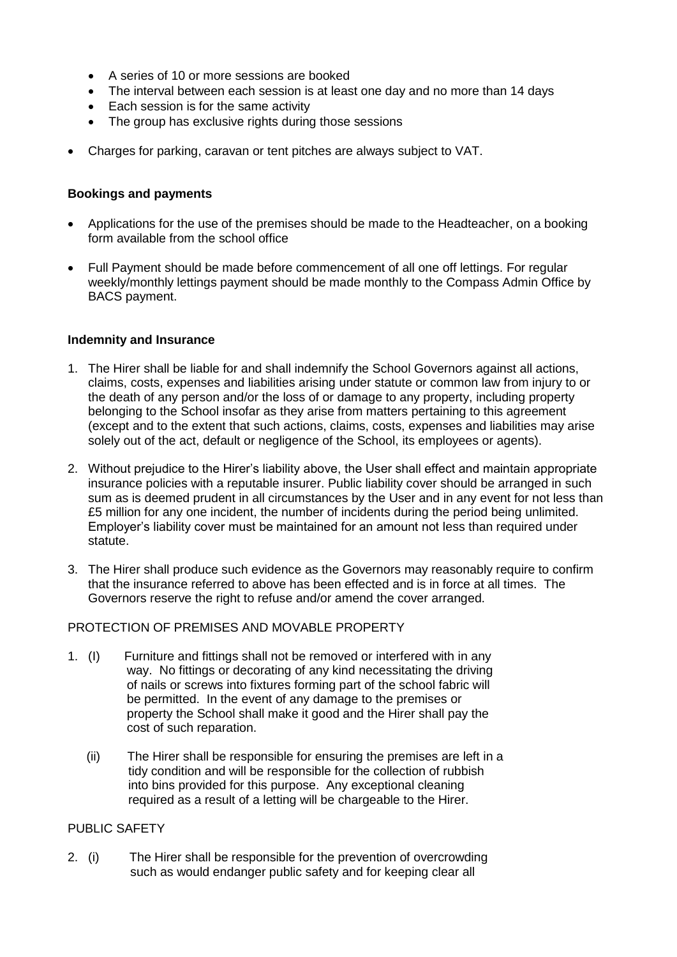- A series of 10 or more sessions are booked
- The interval between each session is at least one day and no more than 14 days
- Each session is for the same activity
- The group has exclusive rights during those sessions
- Charges for parking, caravan or tent pitches are always subject to VAT.

# **Bookings and payments**

- Applications for the use of the premises should be made to the Headteacher, on a booking form available from the school office
- Full Payment should be made before commencement of all one off lettings. For regular weekly/monthly lettings payment should be made monthly to the Compass Admin Office by BACS payment.

# **Indemnity and Insurance**

- 1. The Hirer shall be liable for and shall indemnify the School Governors against all actions, claims, costs, expenses and liabilities arising under statute or common law from injury to or the death of any person and/or the loss of or damage to any property, including property belonging to the School insofar as they arise from matters pertaining to this agreement (except and to the extent that such actions, claims, costs, expenses and liabilities may arise solely out of the act, default or negligence of the School, its employees or agents).
- 2. Without prejudice to the Hirer's liability above, the User shall effect and maintain appropriate insurance policies with a reputable insurer. Public liability cover should be arranged in such sum as is deemed prudent in all circumstances by the User and in any event for not less than £5 million for any one incident, the number of incidents during the period being unlimited. Employer's liability cover must be maintained for an amount not less than required under statute.
- 3. The Hirer shall produce such evidence as the Governors may reasonably require to confirm that the insurance referred to above has been effected and is in force at all times. The Governors reserve the right to refuse and/or amend the cover arranged.

# PROTECTION OF PREMISES AND MOVABLE PROPERTY

- 1. (I) Furniture and fittings shall not be removed or interfered with in any way. No fittings or decorating of any kind necessitating the driving of nails or screws into fixtures forming part of the school fabric will be permitted. In the event of any damage to the premises or property the School shall make it good and the Hirer shall pay the cost of such reparation.
	- (ii) The Hirer shall be responsible for ensuring the premises are left in a tidy condition and will be responsible for the collection of rubbish into bins provided for this purpose. Any exceptional cleaning required as a result of a letting will be chargeable to the Hirer.

# PUBLIC SAFETY

2. (i) The Hirer shall be responsible for the prevention of overcrowding such as would endanger public safety and for keeping clear all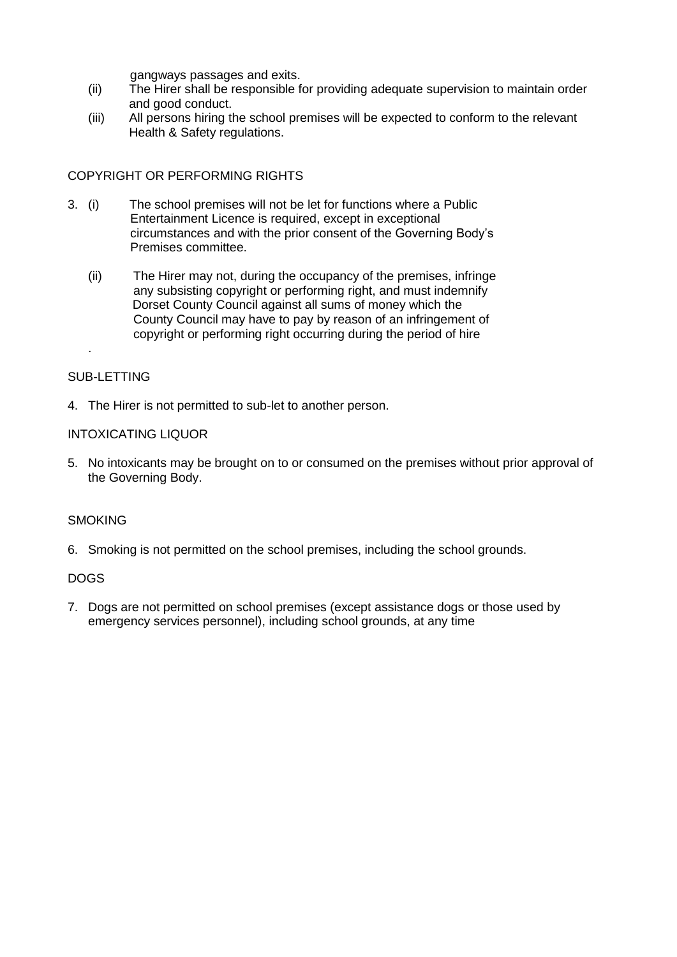gangways passages and exits.

- (ii) The Hirer shall be responsible for providing adequate supervision to maintain order and good conduct.
- (iii) All persons hiring the school premises will be expected to conform to the relevant Health & Safety regulations.

# COPYRIGHT OR PERFORMING RIGHTS

- 3. (i) The school premises will not be let for functions where a Public Entertainment Licence is required, except in exceptional circumstances and with the prior consent of the Governing Body's Premises committee.
	- (ii) The Hirer may not, during the occupancy of the premises, infringe any subsisting copyright or performing right, and must indemnify Dorset County Council against all sums of money which the County Council may have to pay by reason of an infringement of copyright or performing right occurring during the period of hire

# SUB-LETTING

.

4. The Hirer is not permitted to sub-let to another person.

# INTOXICATING LIQUOR

5. No intoxicants may be brought on to or consumed on the premises without prior approval of the Governing Body.

# **SMOKING**

6. Smoking is not permitted on the school premises, including the school grounds.

# DOGS

7. Dogs are not permitted on school premises (except assistance dogs or those used by emergency services personnel), including school grounds, at any time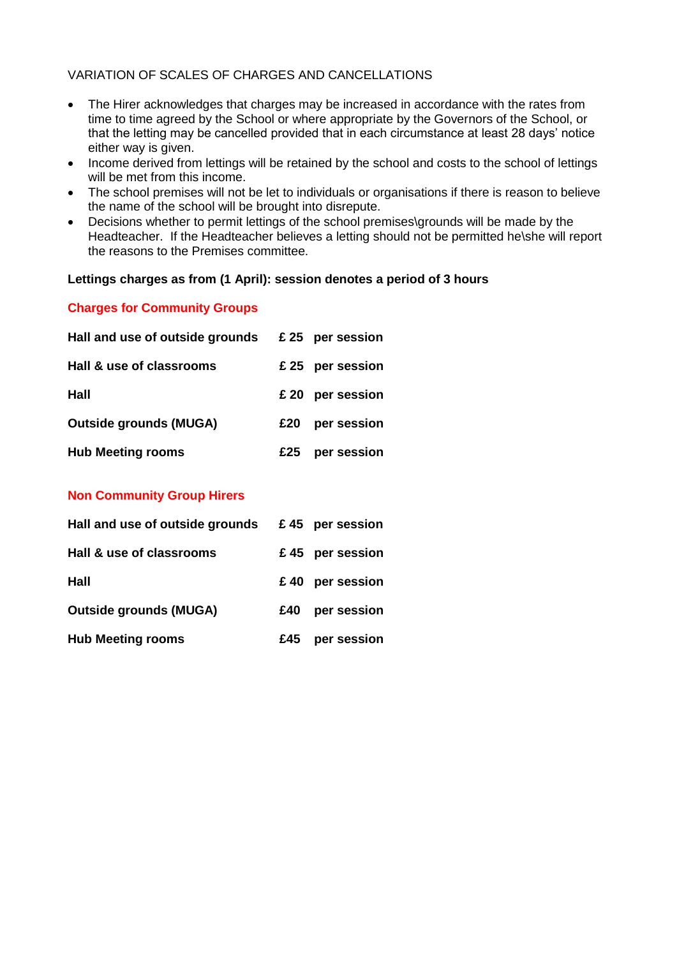# VARIATION OF SCALES OF CHARGES AND CANCELLATIONS

- The Hirer acknowledges that charges may be increased in accordance with the rates from time to time agreed by the School or where appropriate by the Governors of the School, or that the letting may be cancelled provided that in each circumstance at least 28 days' notice either way is given.
- Income derived from lettings will be retained by the school and costs to the school of lettings will be met from this income.
- The school premises will not be let to individuals or organisations if there is reason to believe the name of the school will be brought into disrepute.
- Decisions whether to permit lettings of the school premises\grounds will be made by the Headteacher. If the Headteacher believes a letting should not be permitted he\she will report the reasons to the Premises committee.

# **Lettings charges as from (1 April): session denotes a period of 3 hours**

# **Charges for Community Groups**

| Hall and use of outside grounds |     | £ 25 per session |
|---------------------------------|-----|------------------|
| Hall & use of classrooms        |     | £25 per session  |
| Hall                            |     | £20 per session  |
| <b>Outside grounds (MUGA)</b>   | £20 | per session      |
| <b>Hub Meeting rooms</b>        | £25 | per session      |

# **Non Community Group Hirers**

| Hall and use of outside grounds |     | £45 per session |
|---------------------------------|-----|-----------------|
| Hall & use of classrooms        |     | £45 per session |
| Hall                            |     | £40 per session |
| <b>Outside grounds (MUGA)</b>   | £40 | per session     |
| <b>Hub Meeting rooms</b>        | £45 | per session     |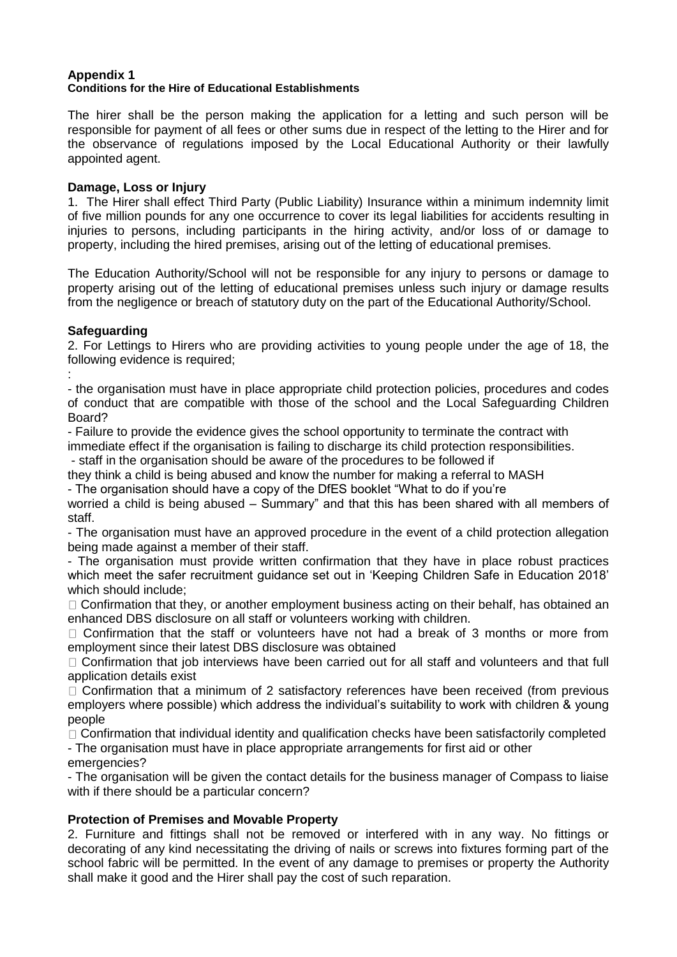#### **Appendix 1 Conditions for the Hire of Educational Establishments**

The hirer shall be the person making the application for a letting and such person will be responsible for payment of all fees or other sums due in respect of the letting to the Hirer and for the observance of regulations imposed by the Local Educational Authority or their lawfully appointed agent.

## **Damage, Loss or Injury**

1. The Hirer shall effect Third Party (Public Liability) Insurance within a minimum indemnity limit of five million pounds for any one occurrence to cover its legal liabilities for accidents resulting in injuries to persons, including participants in the hiring activity, and/or loss of or damage to property, including the hired premises, arising out of the letting of educational premises.

The Education Authority/School will not be responsible for any injury to persons or damage to property arising out of the letting of educational premises unless such injury or damage results from the negligence or breach of statutory duty on the part of the Educational Authority/School.

# **Safeguarding**

2. For Lettings to Hirers who are providing activities to young people under the age of 18, the following evidence is required:

: - the organisation must have in place appropriate child protection policies, procedures and codes of conduct that are compatible with those of the school and the Local Safeguarding Children Board?

- Failure to provide the evidence gives the school opportunity to terminate the contract with immediate effect if the organisation is failing to discharge its child protection responsibilities.

- staff in the organisation should be aware of the procedures to be followed if

they think a child is being abused and know the number for making a referral to MASH

- The organisation should have a copy of the DfES booklet "What to do if you're

worried a child is being abused – Summary" and that this has been shared with all members of staff.

- The organisation must have an approved procedure in the event of a child protection allegation being made against a member of their staff.

- The organisation must provide written confirmation that they have in place robust practices which meet the safer recruitment guidance set out in 'Keeping Children Safe in Education 2018' which should include;

 $\Box$  Confirmation that they, or another employment business acting on their behalf, has obtained an enhanced DBS disclosure on all staff or volunteers working with children.

 $\Box$  Confirmation that the staff or volunteers have not had a break of 3 months or more from employment since their latest DBS disclosure was obtained

□ Confirmation that job interviews have been carried out for all staff and volunteers and that full application details exist

 $\Box$  Confirmation that a minimum of 2 satisfactory references have been received (from previous employers where possible) which address the individual's suitability to work with children & young people

 $\Box$  Confirmation that individual identity and qualification checks have been satisfactorily completed - The organisation must have in place appropriate arrangements for first aid or other

emergencies?

- The organisation will be given the contact details for the business manager of Compass to liaise with if there should be a particular concern?

# **Protection of Premises and Movable Property**

2. Furniture and fittings shall not be removed or interfered with in any way. No fittings or decorating of any kind necessitating the driving of nails or screws into fixtures forming part of the school fabric will be permitted. In the event of any damage to premises or property the Authority shall make it good and the Hirer shall pay the cost of such reparation.